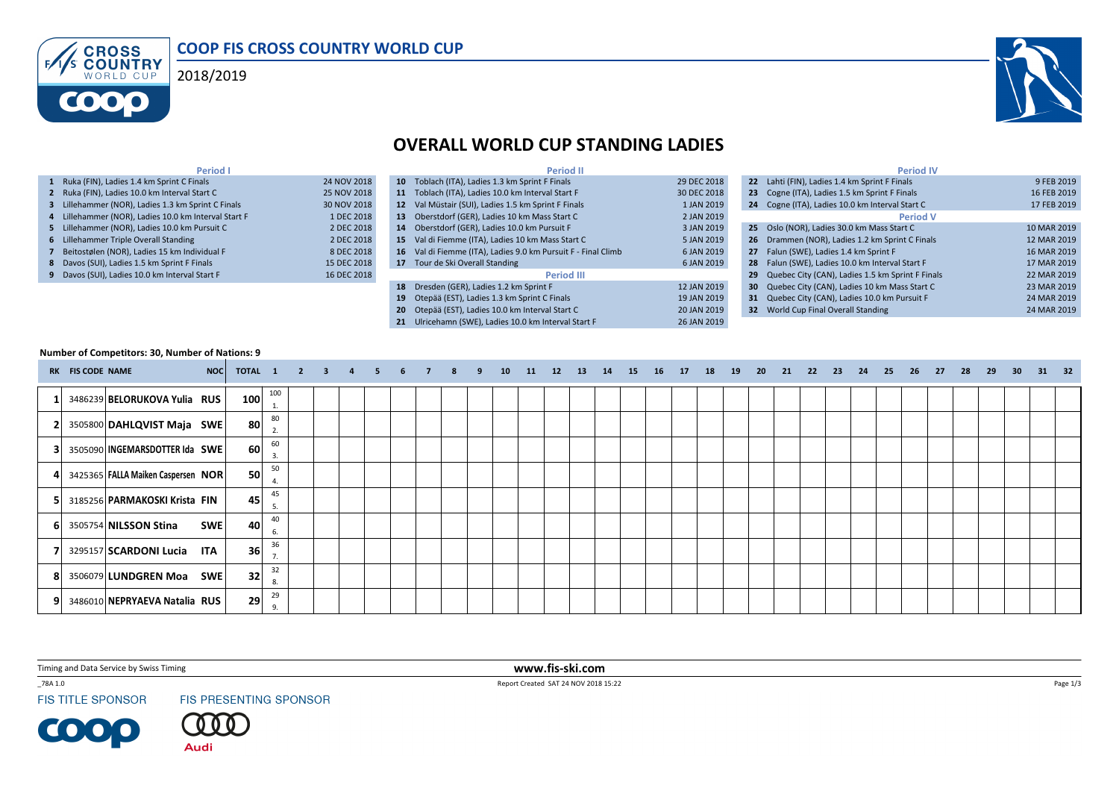





## OVERALL WORLD CUP STANDING LADIES

| Period I                                             |             | <b>Period II</b>                                              |             | <b>Period IV</b>                                    |             |
|------------------------------------------------------|-------------|---------------------------------------------------------------|-------------|-----------------------------------------------------|-------------|
| 1 Ruka (FIN), Ladies 1.4 km Sprint C Finals          | 24 NOV 2018 | 10 Toblach (ITA), Ladies 1.3 km Sprint F Finals               | 29 DEC 2018 | 22 Lahti (FIN), Ladies 1.4 km Sprint F Finals       | 9 FEB 2019  |
| 2 Ruka (FIN), Ladies 10.0 km Interval Start C        | 25 NOV 2018 | 11 Toblach (ITA), Ladies 10.0 km Interval Start F             | 30 DEC 2018 | 23 Cogne (ITA), Ladies 1.5 km Sprint F Finals       | 16 FEB 2019 |
| 3 Lillehammer (NOR), Ladies 1.3 km Sprint C Finals   | 30 NOV 2018 | 12 Val Müstair (SUI), Ladies 1.5 km Sprint F Finals           | 1 JAN 2019  | 24 Cogne (ITA), Ladies 10.0 km Interval Start C     | 17 FEB 2019 |
| 4 Lillehammer (NOR), Ladies 10.0 km Interval Start F | 1 DEC 2018  | 13 Oberstdorf (GER), Ladies 10 km Mass Start C                | 2 JAN 2019  | <b>Period V</b>                                     |             |
| 5 Lillehammer (NOR). Ladies 10.0 km Pursuit C        | 2 DEC 2018  | 14 Oberstdorf (GER). Ladies 10.0 km Pursuit F                 | 3 JAN 2019  | 25 Oslo (NOR), Ladies 30.0 km Mass Start C          | 10 MAR 2019 |
| 6 Lillehammer Triple Overall Standing                | 2 DEC 2018  | 15 Val di Fiemme (ITA), Ladies 10 km Mass Start C             | 5 JAN 2019  | 26 Drammen (NOR), Ladies 1.2 km Sprint C Finals     | 12 MAR 2019 |
| 7 Beitostølen (NOR), Ladies 15 km Individual F       | 8 DEC 2018  | 16 Val di Fiemme (ITA), Ladies 9.0 km Pursuit F - Final Climb | 6 JAN 2019  | 27 Falun (SWE), Ladies 1.4 km Sprint F              | 16 MAR 2019 |
| 8 Davos (SUI), Ladies 1.5 km Sprint F Finals         | 15 DEC 2018 | 17 Tour de Ski Overall Standing                               | 6 JAN 2019  | 28 Falun (SWE), Ladies 10.0 km Interval Start F     | 17 MAR 2019 |
| 9 Davos (SUI), Ladies 10.0 km Interval Start F       | 16 DEC 2018 | <b>Period III</b>                                             |             | 29 Quebec City (CAN), Ladies 1.5 km Sprint F Finals | 22 MAR 2019 |
|                                                      |             | 18 Dresden (GER), Ladies 1.2 km Sprint F                      | 12 JAN 2019 | 30 Quebec City (CAN), Ladies 10 km Mass Start C     | 23 MAR 2019 |
|                                                      |             | 19 Otepää (EST), Ladies 1.3 km Sprint C Finals                | 19 JAN 2019 | 31 Quebec City (CAN), Ladies 10.0 km Pursuit F      | 24 MAR 2019 |
|                                                      |             | 20 Otepää (EST). Ladies 10.0 km Interval Start C              | 20 JAN 2019 | 32 World Cup Final Overall Standing                 | 24 MAR 2019 |
|                                                      |             | 21 Ulricehamn (SWE), Ladies 10.0 km Interval Start F          | 26 JAN 2019 |                                                     |             |

## Number of Competitors: 30, Number of Nations: 9

|    | RK FIS CODE NAME | NOC                                 | TOTAL 1 |          | $\overline{\mathbf{2}}$ | $-13$ | $\overline{a}$ | -5 | 6 | 8 | 9 | 10 | 11 | 12 | 13 | 14 | 15 | 16 | 17 | 18 | 19 | - 20 | 21 | 22 | 23 | 24 | 25 | 26 | 27 | 28 | 29 | 30 <sup>°</sup> | 31 32 |  |
|----|------------------|-------------------------------------|---------|----------|-------------------------|-------|----------------|----|---|---|---|----|----|----|----|----|----|----|----|----|----|------|----|----|----|----|----|----|----|----|----|-----------------|-------|--|
|    |                  | 3486239 BELORUKOVA Yulia RUS        | 100     | 100      |                         |       |                |    |   |   |   |    |    |    |    |    |    |    |    |    |    |      |    |    |    |    |    |    |    |    |    |                 |       |  |
| 21 |                  | 3505800 DAHLQVIST Maja SWE          | 80      | 80       |                         |       |                |    |   |   |   |    |    |    |    |    |    |    |    |    |    |      |    |    |    |    |    |    |    |    |    |                 |       |  |
| 31 |                  | 3505090 INGEMARSDOTTER Ida SWE      | 60      | 60<br>3. |                         |       |                |    |   |   |   |    |    |    |    |    |    |    |    |    |    |      |    |    |    |    |    |    |    |    |    |                 |       |  |
| 41 |                  | 3425365 FALLA Maiken Caspersen NOR  | 50      | 50       |                         |       |                |    |   |   |   |    |    |    |    |    |    |    |    |    |    |      |    |    |    |    |    |    |    |    |    |                 |       |  |
| 51 |                  | 3185256 PARMAKOSKI Krista FIN       | 45      | 45       |                         |       |                |    |   |   |   |    |    |    |    |    |    |    |    |    |    |      |    |    |    |    |    |    |    |    |    |                 |       |  |
| 61 |                  | <b>SWE</b><br>3505754 NILSSON Stina | 40      | 40<br>6. |                         |       |                |    |   |   |   |    |    |    |    |    |    |    |    |    |    |      |    |    |    |    |    |    |    |    |    |                 |       |  |
|    |                  | 3295157 SCARDONI Lucia<br>ITA       | 36      | 36<br>7. |                         |       |                |    |   |   |   |    |    |    |    |    |    |    |    |    |    |      |    |    |    |    |    |    |    |    |    |                 |       |  |
| 81 |                  | 3506079 LUNDGREN Moa<br><b>SWE</b>  | 32      | 32<br>8. |                         |       |                |    |   |   |   |    |    |    |    |    |    |    |    |    |    |      |    |    |    |    |    |    |    |    |    |                 |       |  |
| 91 |                  | 3486010 NEPRYAEVA Natalia RUS       | 29      | 29       |                         |       |                |    |   |   |   |    |    |    |    |    |    |    |    |    |    |      |    |    |    |    |    |    |    |    |    |                 |       |  |

Timing and Data Service by Swiss Timing

\_78A 1.0

**FIS TITLE SPONSOR** 

**COOP** 

FIS PRESENTING SPONSOR

**Audi** 

 www.fis-ski.comReport Created SAT 24 NOV 2018 15:22

Page 1/3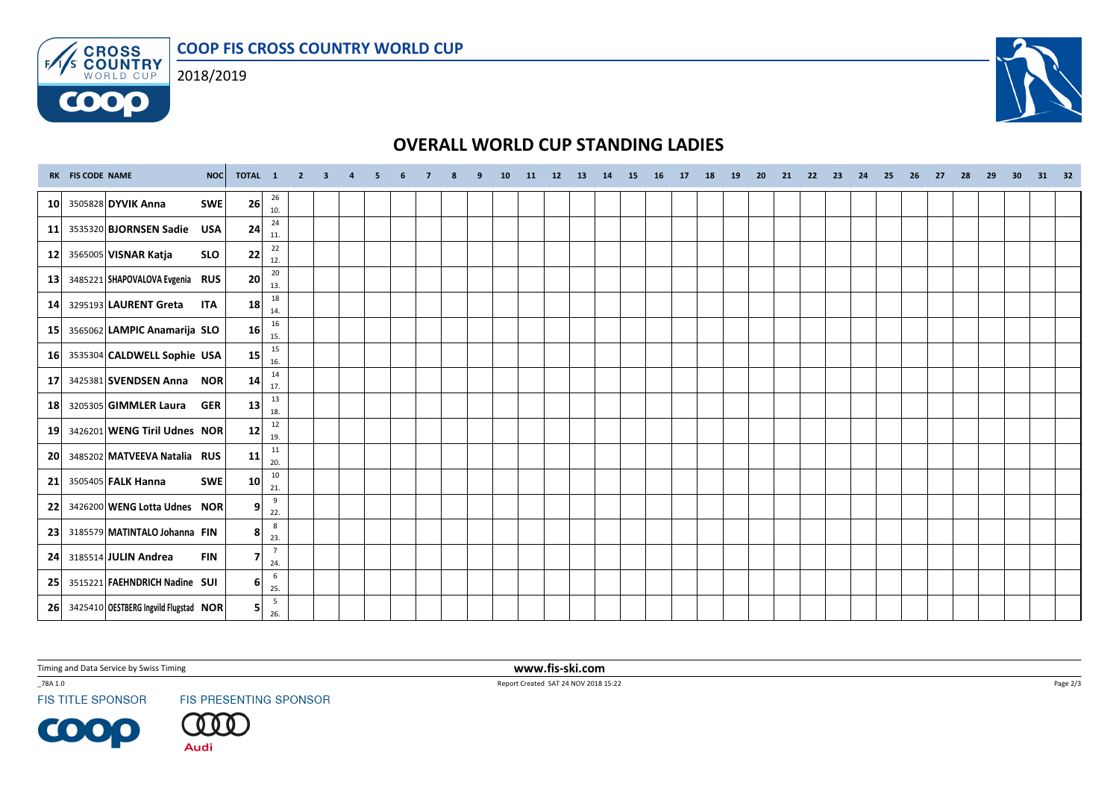COOP FIS CROSS COUNTRY WORLD CUP



**COOO** 



## OVERALL WORLD CUP STANDING LADIES

|                 | RK FIS CODE NAME<br>NOC               | TOTAL 1         |                        | $2 \quad 3$ | $\overline{a}$ | - 5 | 6 |  | q | 10 | 11 12 13 | 14 | 15 | 16 | 17 18 | 19 | 20 | 21 | 22 23 | 24 | 25 | 26 | 27 | 28 | 29 | 30 <sup>°</sup> | 31 32 |  |
|-----------------|---------------------------------------|-----------------|------------------------|-------------|----------------|-----|---|--|---|----|----------|----|----|----|-------|----|----|----|-------|----|----|----|----|----|----|-----------------|-------|--|
| 10 <sup>1</sup> | 3505828 DYVIK Anna<br><b>SWE</b>      | 26              | 26<br>10.              |             |                |     |   |  |   |    |          |    |    |    |       |    |    |    |       |    |    |    |    |    |    |                 |       |  |
| 11              | 3535320 BJORNSEN Sadie<br><b>USA</b>  | 24              | 24<br>11.              |             |                |     |   |  |   |    |          |    |    |    |       |    |    |    |       |    |    |    |    |    |    |                 |       |  |
| 12              | 3565005 VISNAR Katja<br><b>SLO</b>    | 22              | 22<br>12.              |             |                |     |   |  |   |    |          |    |    |    |       |    |    |    |       |    |    |    |    |    |    |                 |       |  |
| 13              | 3485221 SHAPOVALOVA Evgenia RUS       | 20              | $20\,$<br>13.          |             |                |     |   |  |   |    |          |    |    |    |       |    |    |    |       |    |    |    |    |    |    |                 |       |  |
| 14              | 3295193 LAURENT Greta<br><b>ITA</b>   | 18              | 18<br>14.              |             |                |     |   |  |   |    |          |    |    |    |       |    |    |    |       |    |    |    |    |    |    |                 |       |  |
| 15              | 3565062 LAMPIC Anamarija SLO          | 16 <sup>1</sup> | 16<br>15.              |             |                |     |   |  |   |    |          |    |    |    |       |    |    |    |       |    |    |    |    |    |    |                 |       |  |
| 16 <sup>1</sup> | 3535304 CALDWELL Sophie USA           | 15              | 15<br>16.              |             |                |     |   |  |   |    |          |    |    |    |       |    |    |    |       |    |    |    |    |    |    |                 |       |  |
| 17              | 3425381 SVENDSEN Anna NOR             | 14              | 14<br>17.              |             |                |     |   |  |   |    |          |    |    |    |       |    |    |    |       |    |    |    |    |    |    |                 |       |  |
| 18              | 3205305 GIMMLER Laura<br><b>GER</b>   | 13              | 13<br>18.              |             |                |     |   |  |   |    |          |    |    |    |       |    |    |    |       |    |    |    |    |    |    |                 |       |  |
| 19              | 3426201 WENG Tiril Udnes NOR          | 12              | 12<br>19.              |             |                |     |   |  |   |    |          |    |    |    |       |    |    |    |       |    |    |    |    |    |    |                 |       |  |
| 20              | 3485202 MATVEEVA Natalia RUS          | 11              | 11<br>20.              |             |                |     |   |  |   |    |          |    |    |    |       |    |    |    |       |    |    |    |    |    |    |                 |       |  |
| 21              | 3505405 FALK Hanna<br><b>SWE</b>      | 10 <sup>1</sup> | $10\,$<br>21.          |             |                |     |   |  |   |    |          |    |    |    |       |    |    |    |       |    |    |    |    |    |    |                 |       |  |
| 22              | 3426200 WENG Lotta Udnes NOR          | 9 <sup>1</sup>  | 9<br>22.               |             |                |     |   |  |   |    |          |    |    |    |       |    |    |    |       |    |    |    |    |    |    |                 |       |  |
| 23              | 3185579 MATINTALO Johanna FIN         | 8               | 8<br>23.               |             |                |     |   |  |   |    |          |    |    |    |       |    |    |    |       |    |    |    |    |    |    |                 |       |  |
| 24              | <b>FIN</b><br>3185514 JULIN Andrea    | 7               | $\overline{7}$<br>24.  |             |                |     |   |  |   |    |          |    |    |    |       |    |    |    |       |    |    |    |    |    |    |                 |       |  |
| 25              | 3515221 FAEHNDRICH Nadine SUI         | 6 <sup>1</sup>  | $6\phantom{.}6$<br>25. |             |                |     |   |  |   |    |          |    |    |    |       |    |    |    |       |    |    |    |    |    |    |                 |       |  |
| <b>26</b>       | 3425410 OESTBERG Ingvild Flugstad NOR | 51              | $5\overline{5}$<br>26. |             |                |     |   |  |   |    |          |    |    |    |       |    |    |    |       |    |    |    |    |    |    |                 |       |  |

Timing and Data Service by Swiss Timing

\_78A 1.0

**FIS TITLE SPONSOR** 

**COOP** 

FIS PRESENTING SPONSOR



 www.fis-ski.comReport Created SAT 24 NOV 2018 15:22